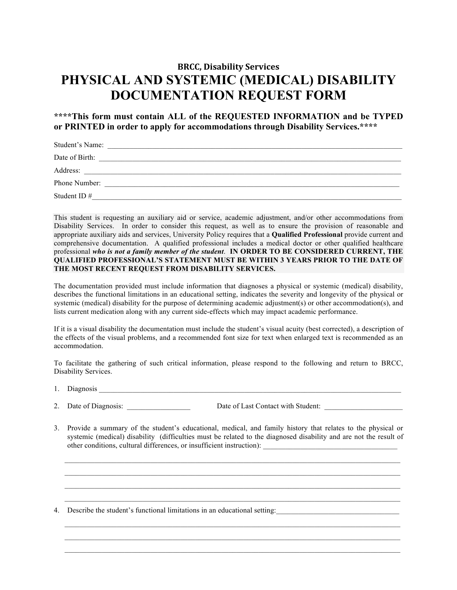## **BRCC, Disability Services PHYSICAL AND SYSTEMIC (MEDICAL) DISABILITY DOCUMENTATION REQUEST FORM**

**\*\*\*\*This form must contain ALL of the REQUESTED INFORMATION and be TYPED or PRINTED in order to apply for accommodations through Disability Services.\*\*\*\***

| Student's Name: |  |
|-----------------|--|
| Date of Birth:  |  |
| Address:        |  |
| Phone Number:   |  |
| Student ID#     |  |

This student is requesting an auxiliary aid or service, academic adjustment, and/or other accommodations from Disability Services. In order to consider this request, as well as to ensure the provision of reasonable and appropriate auxiliary aids and services, University Policy requires that a **Qualified Professional** provide current and comprehensive documentation. A qualified professional includes a medical doctor or other qualified healthcare professional *who is not a family member of the student*. **IN ORDER TO BE CONSIDERED CURRENT, THE QUALIFIED PROFESSIONAL'S STATEMENT MUST BE WITHIN 3 YEARS PRIOR TO THE DATE OF THE MOST RECENT REQUEST FROM DISABILITY SERVICES.** 

The documentation provided must include information that diagnoses a physical or systemic (medical) disability, describes the functional limitations in an educational setting, indicates the severity and longevity of the physical or systemic (medical) disability for the purpose of determining academic adjustment(s) or other accommodation(s), and lists current medication along with any current side-effects which may impact academic performance.

If it is a visual disability the documentation must include the student's visual acuity (best corrected), a description of the effects of the visual problems, and a recommended font size for text when enlarged text is recommended as an accommodation.

To facilitate the gathering of such critical information, please respond to the following and return to BRCC, Disability Services.

- 1. Diagnosis
- 

2. Date of Diagnosis:  $\qquad \qquad$  Date of Last Contact with Student:

3. Provide a summary of the student's educational, medical, and family history that relates to the physical or systemic (medical) disability (difficulties must be related to the diagnosed disability and are not the result of other conditions, cultural differences, or insufficient instruction):

 $\mathcal{L}_\mathcal{L} = \{ \mathcal{L}_\mathcal{L} = \{ \mathcal{L}_\mathcal{L} = \{ \mathcal{L}_\mathcal{L} = \{ \mathcal{L}_\mathcal{L} = \{ \mathcal{L}_\mathcal{L} = \{ \mathcal{L}_\mathcal{L} = \{ \mathcal{L}_\mathcal{L} = \{ \mathcal{L}_\mathcal{L} = \{ \mathcal{L}_\mathcal{L} = \{ \mathcal{L}_\mathcal{L} = \{ \mathcal{L}_\mathcal{L} = \{ \mathcal{L}_\mathcal{L} = \{ \mathcal{L}_\mathcal{L} = \{ \mathcal{L}_\mathcal{$  $\mathcal{L}_\mathcal{L} = \{ \mathcal{L}_\mathcal{L} = \{ \mathcal{L}_\mathcal{L} = \{ \mathcal{L}_\mathcal{L} = \{ \mathcal{L}_\mathcal{L} = \{ \mathcal{L}_\mathcal{L} = \{ \mathcal{L}_\mathcal{L} = \{ \mathcal{L}_\mathcal{L} = \{ \mathcal{L}_\mathcal{L} = \{ \mathcal{L}_\mathcal{L} = \{ \mathcal{L}_\mathcal{L} = \{ \mathcal{L}_\mathcal{L} = \{ \mathcal{L}_\mathcal{L} = \{ \mathcal{L}_\mathcal{L} = \{ \mathcal{L}_\mathcal{$  $\mathcal{L}_\mathcal{L} = \{ \mathcal{L}_\mathcal{L} = \{ \mathcal{L}_\mathcal{L} = \{ \mathcal{L}_\mathcal{L} = \{ \mathcal{L}_\mathcal{L} = \{ \mathcal{L}_\mathcal{L} = \{ \mathcal{L}_\mathcal{L} = \{ \mathcal{L}_\mathcal{L} = \{ \mathcal{L}_\mathcal{L} = \{ \mathcal{L}_\mathcal{L} = \{ \mathcal{L}_\mathcal{L} = \{ \mathcal{L}_\mathcal{L} = \{ \mathcal{L}_\mathcal{L} = \{ \mathcal{L}_\mathcal{L} = \{ \mathcal{L}_\mathcal{$ 

4. Describe the student's functional limitations in an educational setting: